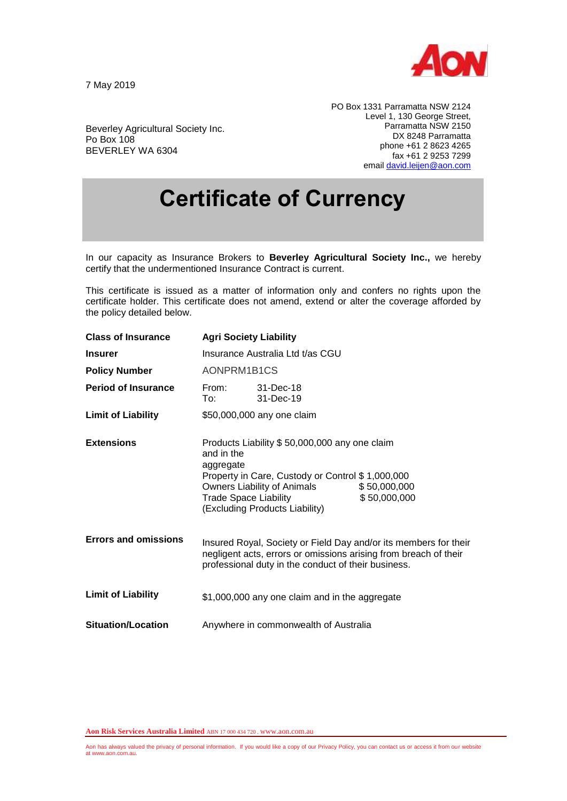

7 May 2019

Po Box 108

BEVERLEY WA 6304

Beverley Agricultural Society Inc.

PO Box 1331 Parramatta NSW 2124 Level 1, 130 George Street, Parramatta NSW 2150 DX 8248 Parramatta phone +61 2 8623 4265 fax +61 2 9253 7299 emai[l david.leijen@aon.com](mailto:david.leijen@aon.com)

## **Certificate of Currency**

In our capacity as Insurance Brokers to **Beverley Agricultural Society Inc.,** we hereby certify that the undermentioned Insurance Contract is current.

This certificate is issued as a matter of information only and confers no rights upon the certificate holder. This certificate does not amend, extend or alter the coverage afforded by the policy detailed below.

| <b>Class of Insurance</b>   | <b>Agri Society Liability</b>                                                                                                                                                                                                                                 |                        |  |
|-----------------------------|---------------------------------------------------------------------------------------------------------------------------------------------------------------------------------------------------------------------------------------------------------------|------------------------|--|
| <b>Insurer</b>              | Insurance Australia Ltd t/as CGU                                                                                                                                                                                                                              |                        |  |
| <b>Policy Number</b>        | AONPRM1B1CS                                                                                                                                                                                                                                                   |                        |  |
| <b>Period of Insurance</b>  | From:<br>To: T                                                                                                                                                                                                                                                | 31-Dec-18<br>31-Dec-19 |  |
| <b>Limit of Liability</b>   | \$50,000,000 any one claim                                                                                                                                                                                                                                    |                        |  |
| <b>Extensions</b>           | Products Liability \$50,000,000 any one claim<br>and in the<br>aggregate<br>Property in Care, Custody or Control \$1,000,000<br>Owners Liability of Animals<br>\$50,000,000<br><b>Trade Space Liability</b><br>\$50,000,000<br>(Excluding Products Liability) |                        |  |
| <b>Errors and omissions</b> | Insured Royal, Society or Field Day and/or its members for their<br>negligent acts, errors or omissions arising from breach of their<br>professional duty in the conduct of their business.                                                                   |                        |  |
| <b>Limit of Liability</b>   | \$1,000,000 any one claim and in the aggregate                                                                                                                                                                                                                |                        |  |
| <b>Situation/Location</b>   | Anywhere in commonwealth of Australia                                                                                                                                                                                                                         |                        |  |

**Aon Risk Services Australia Limited** ABN 17 000 434 720 . www.aon.com.au